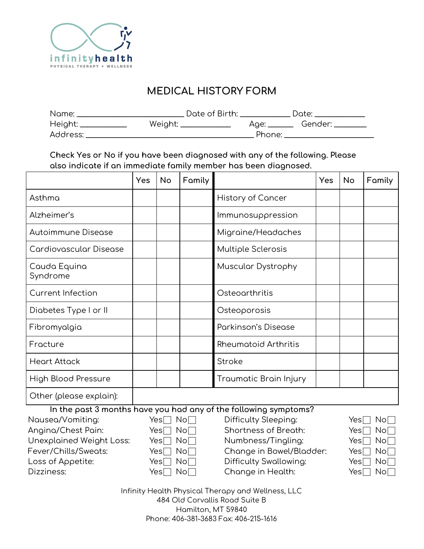

# **MEDICAL HISTORY FORM**

| Name:    | Date of Birth: |        | Date: |
|----------|----------------|--------|-------|
| Height:  | Weight:        |        |       |
| Address: |                | Phone: |       |

**Check Yes or No if you have been diagnosed with any of the following. Please also indicate if an immediate family member has been diagnosed.**

|                          | <b>Yes</b> | <b>No</b> | Family |                                                                  | Yes | No | Family |
|--------------------------|------------|-----------|--------|------------------------------------------------------------------|-----|----|--------|
| Asthma                   |            |           |        | <b>History of Cancer</b>                                         |     |    |        |
| Alzheimer's              |            |           |        | Immunosuppression                                                |     |    |        |
| Autoimmune Disease       |            |           |        | Migraine/Headaches                                               |     |    |        |
| Cardiovascular Disease   |            |           |        | Multiple Sclerosis                                               |     |    |        |
| Cauda Equina<br>Syndrome |            |           |        | Muscular Dystrophy                                               |     |    |        |
| <b>Current Infection</b> |            |           |        | Osteoarthritis                                                   |     |    |        |
| Diabetes Type I or II    |            |           |        | Osteoporosis                                                     |     |    |        |
| Fibromyalgia             |            |           |        | Parkinson's Disease                                              |     |    |        |
| Fracture                 |            |           |        | <b>Rheumatoid Arthritis</b>                                      |     |    |        |
| <b>Heart Attack</b>      |            |           |        | Stroke                                                           |     |    |        |
| High Blood Pressure      |            |           |        | Traumatic Brain Injury                                           |     |    |        |
| Other (please explain):  |            |           |        |                                                                  |     |    |        |
|                          |            |           |        | In the past 3 months have you had any of the following symptoms? |     |    |        |

 $N$ ausea/Vomiting:  $Yes \cap No \cap$  Difficulty Sleeping: Angina/Chest Pain:  $Yes \rceil No \rceil$  Shortness of Breath: Unexplained Weight Loss: Yes | No │ Numbness/Tingling: Fever/Chills/Sweats: Yes No Roose Change in Bowel/Bladder: Loss of Appetite:  $Yes \Box No \Box$  Difficulty Swallowing:  $\mathsf{D}$ izziness:  $\mathsf{Yes} \sqcap \mathsf{No} \sqcap \mathsf{Con} \sqcap \mathsf{Con} \sqcap \mathsf{H}$ ealth:

| $Yes \lceil \rceil$ | $\mathsf{No}\Box$    |
|---------------------|----------------------|
| $Yes \Box$          | No∏∣                 |
| Yes $\Box$          | No∏∣                 |
| $Yes \Box$          | No∏∣                 |
| Yes[]               | $\mathsf{No}\Box$    |
| $Yes \Box$          | $\mathsf{No}\square$ |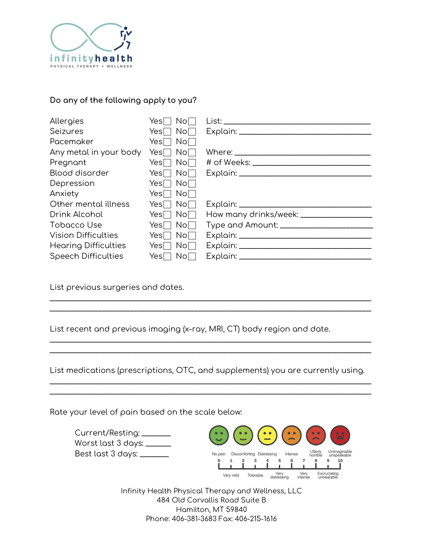

#### **Do any of the following apply to you?**

| Allergies                   | No <sub>1</sub><br>Yes∏                                            | <u>List: ___________________________________</u> |
|-----------------------------|--------------------------------------------------------------------|--------------------------------------------------|
| <b>Seizures</b>             | Yes $\Box$ No $\Box$                                               |                                                  |
| Pacemaker                   | Yes $\Box$ No $\Box$                                               |                                                  |
| Any metal in your body      | Yes $\sqcap$ No $\sqcap$                                           |                                                  |
| Pregnant                    | Yes $\Box$ No $\Box$                                               |                                                  |
| Blood disorder              | Yes $\Box$ No $\Box$                                               |                                                  |
| Depression                  | Yes $\Box$ No $\Box$                                               |                                                  |
| Anxiety                     | Yes $\Box$ No $\Box$                                               |                                                  |
| Other mental illness        | $Yes \Box No \Box$                                                 |                                                  |
| Drink Alcohol               | Yes $\Box$ No $\Box$                                               | How many drinks/week: ___________________        |
| Tobacco Use                 | Yes $\Box$ No $\Box$                                               |                                                  |
| <b>Vision Difficulties</b>  | Yes $\Box$ No $\Box$                                               |                                                  |
| <b>Hearing Difficulties</b> | $\overline{\phantom{a}}$ No $\overline{\phantom{a}}$<br>$Yes \Box$ |                                                  |
| <b>Speech Difficulties</b>  | Yes $\Box$ No $\Box$                                               |                                                  |

List previous surgeries and dates.

List recent and previous imaging (x-ray, MRI, CT) body region and date.

List medications (prescriptions, OTC, and supplements) you are currently using.  $\_$  ,  $\_$  ,  $\_$  ,  $\_$  ,  $\_$  ,  $\_$  ,  $\_$  ,  $\_$  ,  $\_$  ,  $\_$  ,  $\_$  ,  $\_$  ,  $\_$  ,  $\_$  ,  $\_$  ,  $\_$  ,  $\_$  ,  $\_$  ,  $\_$  ,  $\_$  ,  $\_$  ,  $\_$  ,  $\_$  ,  $\_$  ,  $\_$  ,  $\_$  ,  $\_$  ,  $\_$  ,  $\_$  ,  $\_$  ,  $\_$  ,  $\_$  ,  $\_$  ,  $\_$  ,  $\_$  ,  $\_$  ,  $\_$  ,

 $\_$  ,  $\_$  ,  $\_$  ,  $\_$  ,  $\_$  ,  $\_$  ,  $\_$  ,  $\_$  ,  $\_$  ,  $\_$  ,  $\_$  ,  $\_$  ,  $\_$  ,  $\_$  ,  $\_$  ,  $\_$  ,  $\_$  ,  $\_$  ,  $\_$  ,  $\_$  ,  $\_$  ,  $\_$  ,  $\_$  ,  $\_$  ,  $\_$  ,  $\_$  ,  $\_$  ,  $\_$  ,  $\_$  ,  $\_$  ,  $\_$  ,  $\_$  ,  $\_$  ,  $\_$  ,  $\_$  ,  $\_$  ,  $\_$  ,

 $\_$  ,  $\_$  ,  $\_$  ,  $\_$  ,  $\_$  ,  $\_$  ,  $\_$  ,  $\_$  ,  $\_$  ,  $\_$  ,  $\_$  ,  $\_$  ,  $\_$  ,  $\_$  ,  $\_$  ,  $\_$  ,  $\_$  ,  $\_$  ,  $\_$  ,  $\_$  ,  $\_$  ,  $\_$  ,  $\_$  ,  $\_$  ,  $\_$  ,  $\_$  ,  $\_$  ,  $\_$  ,  $\_$  ,  $\_$  ,  $\_$  ,  $\_$  ,  $\_$  ,  $\_$  ,  $\_$  ,  $\_$  ,  $\_$  ,  $\_$  ,  $\_$  ,  $\_$  ,  $\_$  ,  $\_$  ,  $\_$  ,  $\_$  ,  $\_$  ,  $\_$  ,  $\_$  ,  $\_$  ,  $\_$  ,  $\_$  ,  $\_$  ,  $\_$  ,  $\_$  ,  $\_$  ,  $\_$  ,  $\_$  ,  $\_$  ,  $\_$  ,  $\_$  ,  $\_$  ,  $\_$  ,  $\_$  ,  $\_$  ,  $\_$  ,  $\_$  ,  $\_$  ,  $\_$  ,  $\_$  ,  $\_$  ,  $\_$  ,  $\_$  ,  $\_$  ,  $\_$  ,  $\_$  ,

 $\_$  ,  $\_$  ,  $\_$  ,  $\_$  ,  $\_$  ,  $\_$  ,  $\_$  ,  $\_$  ,  $\_$  ,  $\_$  ,  $\_$  ,  $\_$  ,  $\_$  ,  $\_$  ,  $\_$  ,  $\_$  ,  $\_$  ,  $\_$  ,  $\_$  ,  $\_$  ,  $\_$  ,  $\_$  ,  $\_$  ,  $\_$  ,  $\_$  ,  $\_$  ,  $\_$  ,  $\_$  ,  $\_$  ,  $\_$  ,  $\_$  ,  $\_$  ,  $\_$  ,  $\_$  ,  $\_$  ,  $\_$  ,  $\_$  ,  $\_$  ,  $\_$  ,  $\_$  ,  $\_$  ,  $\_$  ,  $\_$  ,  $\_$  ,  $\_$  ,  $\_$  ,  $\_$  ,  $\_$  ,  $\_$  ,  $\_$  ,  $\_$  ,  $\_$  ,  $\_$  ,  $\_$  ,  $\_$  ,  $\_$  ,  $\_$  ,  $\_$  ,  $\_$  ,  $\_$  ,  $\_$  ,  $\_$  ,  $\_$  ,  $\_$  ,  $\_$  ,  $\_$  ,  $\_$  ,  $\_$  ,  $\_$  ,  $\_$  ,  $\_$  ,  $\_$  ,  $\_$  ,  $\_$  ,

Rate your level of pain based on the scale below:

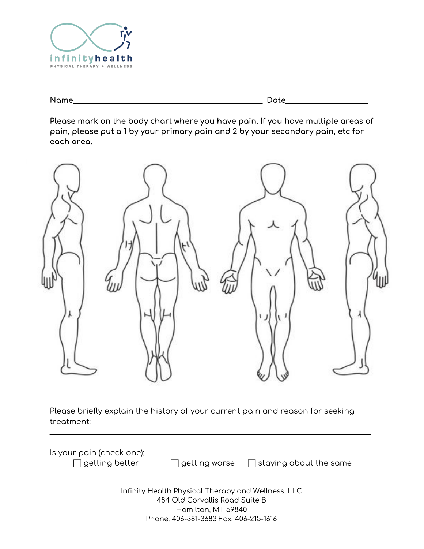

| Name<br>--<br>.<br>- | ⊸ |
|----------------------|---|
|----------------------|---|

**Please mark on the body chart where you have pain. If you have multiple areas of pain, please put a 1 by your primary pain and 2 by your secondary pain, etc for each area.**



Please briefly explain the history of your current pain and reason for seeking treatment:

 $\_$  ,  $\_$  ,  $\_$  ,  $\_$  ,  $\_$  ,  $\_$  ,  $\_$  ,  $\_$  ,  $\_$  ,  $\_$  ,  $\_$  ,  $\_$  ,  $\_$  ,  $\_$  ,  $\_$  ,  $\_$  ,  $\_$  ,  $\_$  ,  $\_$  ,  $\_$  ,  $\_$  ,  $\_$  ,  $\_$  ,  $\_$  ,  $\_$  ,  $\_$  ,  $\_$  ,  $\_$  ,  $\_$  ,  $\_$  ,  $\_$  ,  $\_$  ,  $\_$  ,  $\_$  ,  $\_$  ,  $\_$  ,  $\_$  ,

| Is your pain (check one):<br>$\Box$ getting better | getting worse                                      | $\Box$ staying about the same |
|----------------------------------------------------|----------------------------------------------------|-------------------------------|
|                                                    | Infinity Health Physical Therapy and Wellness, LLC |                               |
|                                                    | 484 Old Corvallis Road Suite B                     |                               |
|                                                    | Hamilton, MT 59840                                 |                               |
|                                                    | Phone: 406-381-3683 Fax: 406-215-1616              |                               |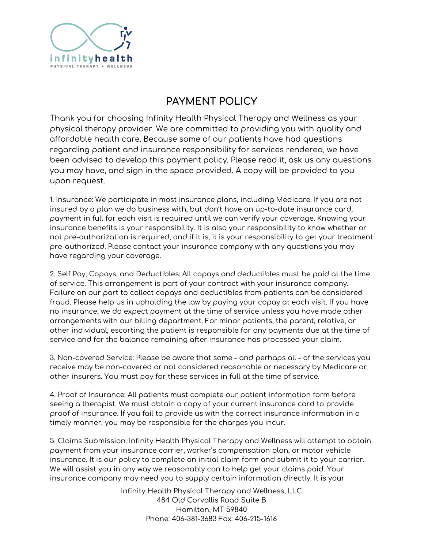

## **PAYMENT POLICY**

Thank you for choosing Infinity Health Physical Therapy and Wellness as your physical therapy provider. We are committed to providing you with quality and affordable health care. Because some of our patients have had questions regarding patient and insurance responsibility for services rendered, we have been advised to develop this payment policy. Please read it, ask us any questions you may have, and sign in the space provided. A copy will be provided to you upon request.

1. Insurance: We participate in most insurance plans, including Medicare. If you are not insured by a plan we do business with, but don't have an up-to-date insurance card, payment in full for each visit is required until we can verify your coverage. Knowing your insurance benefits is your responsibility. It is also your responsibility to know whether or not pre-authorization is required, and if it is, it is your responsibility to get your treatment pre-authorized. Please contact your insurance company with any questions you may have regarding your coverage.

2. Self Pay, Copays, and Deductibles: All copays and deductibles must be paid at the time of service. This arrangement is part of your contract with your insurance company. Failure on our part to collect copays and deductibles from patients can be considered fraud. Please help us in upholding the law by paying your copay at each visit. If you have no insurance, we do expect payment at the time of service unless you have made other arrangements with our billing department. For minor patients, the parent, relative, or other individual, escorting the patient is responsible for any payments due at the time of service and for the balance remaining after insurance has processed your claim.

3. Non-covered Service: Please be aware that some – and perhaps all – of the services you receive may be non-covered or not considered reasonable or necessary by Medicare or other insurers. You must pay for these services in full at the time of service.

4. Proof of Insurance: All patients must complete our patient information form before seeing a therapist. We must obtain a copy of your current insurance card to provide proof of insurance. If you fail to provide us with the correct insurance information in a timely manner, you may be responsible for the charges you incur.

5. Claims Submission: Infinity Health Physical Therapy and Wellness will attempt to obtain payment from your insurance carrier, worker's compensation plan, or motor vehicle insurance. It is our policy to complete an initial claim form and submit it to your carrier. We will assist you in any way we reasonably can to help get your claims paid. Your insurance company may need you to supply certain information directly. It is your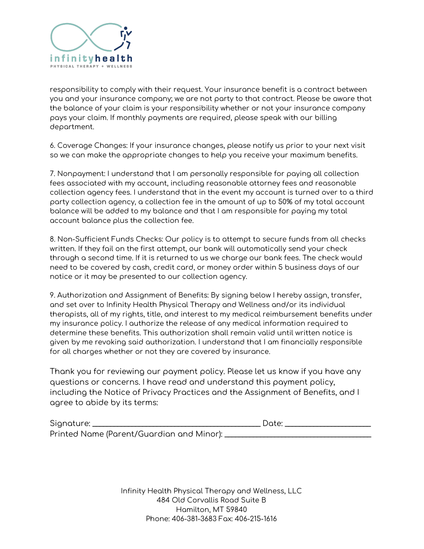

responsibility to comply with their request. Your insurance benefit is a contract between you and your insurance company; we are not party to that contract. Please be aware that the balance of your claim is your responsibility whether or not your insurance company pays your claim. If monthly payments are required, please speak with our billing department.

6. Coverage Changes: If your insurance changes, please notify us prior to your next visit so we can make the appropriate changes to help you receive your maximum benefits.

7. Nonpayment: I understand that I am personally responsible for paying all collection fees associated with my account, including reasonable attorney fees and reasonable collection agency fees. I understand that in the event my account is turned over to a third party collection agency, a collection fee in the amount of up to 50% of my total account balance will be added to my balance and that I am responsible for paying my total account balance plus the collection fee.

8. Non-Sufficient Funds Checks: Our policy is to attempt to secure funds from all checks written. If they fail on the first attempt, our bank will automatically send your check through a second time. If it is returned to us we charge our bank fees. The check would need to be covered by cash, credit card, or money order within 5 business days of our notice or it may be presented to our collection agency.

9. Authorization and Assignment of Benefits: By signing below I hereby assign, transfer, and set over to Infinity Health Physical Therapy and Wellness and/or its individual therapists, all of my rights, title, and interest to my medical reimbursement benefits under my insurance policy. I authorize the release of any medical information required to determine these benefits. This authorization shall remain valid until written notice is given by me revoking said authorization. I understand that I am financially responsible for all charges whether or not they are covered by insurance.

Thank you for reviewing our payment policy. Please let us know if you have any questions or concerns. I have read and understand this payment policy, including the Notice of Privacy Practices and the Assignment of Benefits, and I agree to abide by its terms:

| Signature: |                                           | Date: |  |
|------------|-------------------------------------------|-------|--|
|            | Printed Name (Parent/Guardian and Minor): |       |  |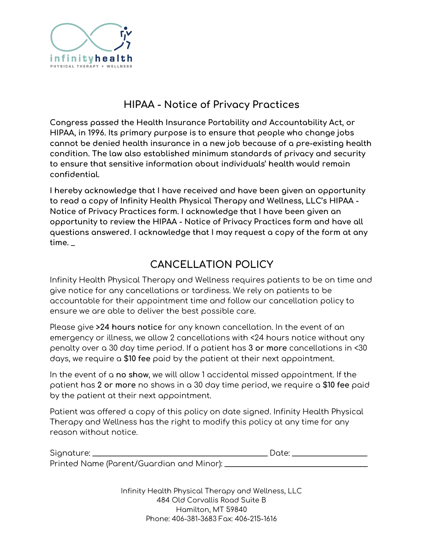

### **HIPAA - Notice of Privacy Practices**

**Congress passed the Health Insurance Portability and Accountability Act, or HIPAA, in 1996. Its primary purpose is to ensure that people who change jobs cannot be denied health insurance in a new job because of a pre-existing health condition. The law also established minimum standards of privacy and security to ensure that sensitive information about individuals' health would remain confidential.**

**I hereby acknowledge that I have received and have been given an opportunity to read a copy of Infinity Health Physical Therapy and Wellness, LLC's HIPAA - Notice of Privacy Practices form. I acknowledge that I have been given an opportunity to review the HIPAA - Notice of Privacy Practices form and have all questions answered. I acknowledge that I may request a copy of the form at any time.** \_

## **CANCELLATION POLICY**

Infinity Health Physical Therapy and Wellness requires patients to be on time and give notice for any cancellations or tardiness. We rely on patients to be accountable for their appointment time and follow our cancellation policy to ensure we are able to deliver the best possible care.

Please give **>24 hours notice** for any known cancellation. In the event of an emergency or illness, we allow 2 cancellations with <24 hours notice without any penalty over a 30 day time period. If a patient has **3 or more** cancellations in <30 days, we require a **\$10 fee** paid by the patient at their next appointment.

In the event of a **no show**, we will allow 1 accidental missed appointment. If the patient has **2 or more** no shows in a 30 day time period, we require a **\$10 fee** paid by the patient at their next appointment.

Patient was offered a copy of this policy on date signed. Infinity Health Physical Therapy and Wellness has the right to modify this policy at any time for any reason without notice.

| Signature: |                                           | Date <sup>.</sup> |  |
|------------|-------------------------------------------|-------------------|--|
|            | Printed Name (Parent/Guardian and Minor): |                   |  |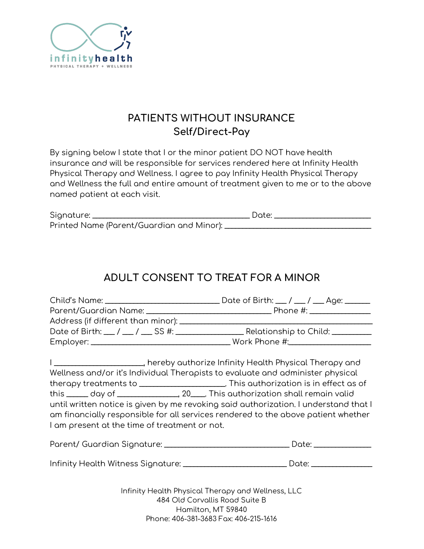

## **PATIENTS WITHOUT INSURANCE Self/Direct-Pay**

By signing below I state that I or the minor patient DO NOT have health insurance and will be responsible for services rendered here at Infinity Health Physical Therapy and Wellness. I agree to pay Infinity Health Physical Therapy and Wellness the full and entire amount of treatment given to me or to the above named patient at each visit.

| Signature: |                                           | Date: |  |
|------------|-------------------------------------------|-------|--|
|            | Printed Name (Parent/Guardian and Minor): |       |  |

# **ADULT CONSENT TO TREAT FOR A MINOR**

| I am present at the time of treatment or not. | I _________________________, hereby authorize Infinity Health Physical Therapy and<br>Wellness and/or it's Individual Therapists to evaluate and administer physical<br>therapy treatments to ________________________. This authorization is in effect as of<br>until written notice is given by me revoking said authorization. I understand that I<br>am financially responsible for all services rendered to the above patient whether |
|-----------------------------------------------|--------------------------------------------------------------------------------------------------------------------------------------------------------------------------------------------------------------------------------------------------------------------------------------------------------------------------------------------------------------------------------------------------------------------------------------------|
|                                               | Date: _______________                                                                                                                                                                                                                                                                                                                                                                                                                      |

Infinity Health Witness Signature: \_\_\_\_\_\_\_\_\_\_\_\_\_\_\_\_\_\_\_\_\_\_\_\_\_\_\_\_\_ Date: \_\_\_\_\_\_\_\_\_\_\_\_\_\_\_\_\_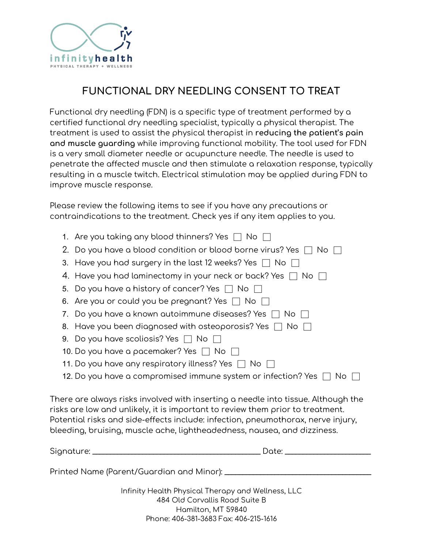

# **FUNCTIONAL DRY NEEDLING CONSENT TO TREAT**

Functional dry needling (FDN) is a specific type of treatment performed by a certified functional dry needling specialist, typically a physical therapist. The treatment is used to assist the physical therapist in **reducing the patient's pain and muscle guarding** while improving functional mobility. The tool used for FDN is a very small diameter needle or acupuncture needle. The needle is used to penetrate the affected muscle and then stimulate a relaxation response, typically resulting in a muscle twitch. Electrical stimulation may be applied during FDN to improve muscle response.

Please review the following items to see if you have any precautions or contraindications to the treatment. Check yes if any item applies to you.

| 1. Are you taking any blood thinners? Yes $\Box$ No $\Box$                                                                                                                                                                                                                                                                          |
|-------------------------------------------------------------------------------------------------------------------------------------------------------------------------------------------------------------------------------------------------------------------------------------------------------------------------------------|
| 2. Do you have a blood condition or blood borne virus? Yes $\Box$ No $\Box$                                                                                                                                                                                                                                                         |
| 3. Have you had surgery in the last 12 weeks? Yes $\Box$ No $\Box$                                                                                                                                                                                                                                                                  |
| 4. Have you had laminectomy in your neck or back? Yes $\Box$ No $\Box$                                                                                                                                                                                                                                                              |
| 5. Do you have a history of cancer? Yes $\Box$ No $\Box$                                                                                                                                                                                                                                                                            |
| 6. Are you or could you be pregnant? Yes $\Box$ No $\Box$                                                                                                                                                                                                                                                                           |
| 7. Do you have a known autoimmune diseases? Yes $\Box$ No $\Box$                                                                                                                                                                                                                                                                    |
| 8. Have you been diagnosed with osteoporosis? Yes $\Box$ No $\Box$                                                                                                                                                                                                                                                                  |
| 9. Do you have scoliosis? Yes $\Box$ No $\Box$                                                                                                                                                                                                                                                                                      |
| 10. Do you have a pacemaker? Yes $\Box$ No $\Box$                                                                                                                                                                                                                                                                                   |
| 11. Do you have any respiratory illness? Yes $\Box$ No $\Box$                                                                                                                                                                                                                                                                       |
| 12. Do you have a compromised immune system or infection? Yes $\Box$ No $\Box$                                                                                                                                                                                                                                                      |
| There are always risks involved with inserting a needle into tissue. Although the<br>risks are low and unlikely, it is important to review them prior to treatment.<br>Potential risks and side-effects include: infection, pneumothorax, nerve injury,<br>bleeding, bruising, muscle ache, lightheadedness, nausea, and dizziness. |
|                                                                                                                                                                                                                                                                                                                                     |
| Printed Name                                 (Parent/Guardian and Minor): _________________________                                                                                                                                                                                                                                 |
|                                                                                                                                                                                                                                                                                                                                     |